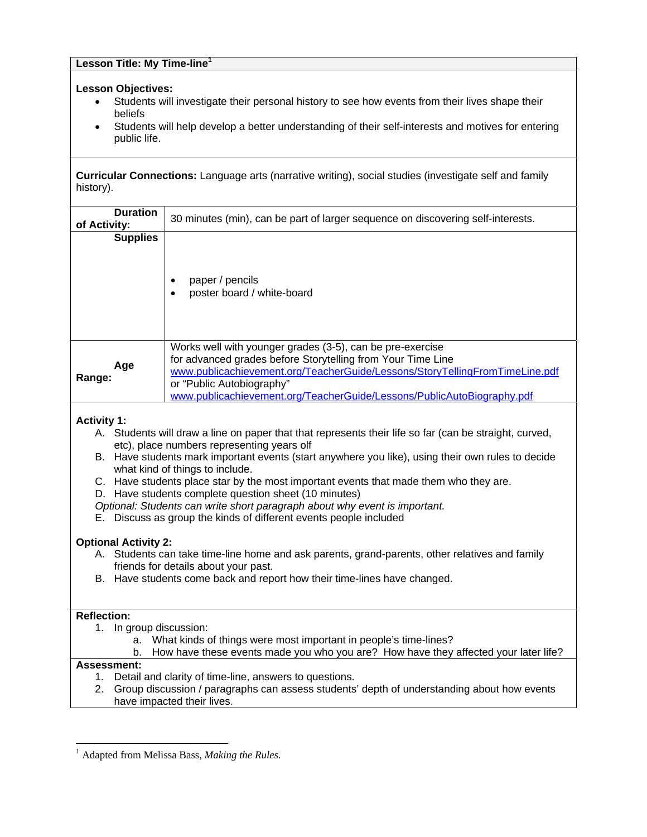#### **Lesson Title: My Time-line<sup>1</sup>**

#### **Lesson Objectives:**

- Students will investigate their personal history to see how events from their lives shape their beliefs
- Students will help develop a better understanding of their self-interests and motives for entering public life.

**Curricular Connections:** Language arts (narrative writing), social studies (investigate self and family history).

| <b>Duration</b><br>of Activity: | 30 minutes (min), can be part of larger sequence on discovering self-interests.                                                                                                                                                                                                                                |  |  |
|---------------------------------|----------------------------------------------------------------------------------------------------------------------------------------------------------------------------------------------------------------------------------------------------------------------------------------------------------------|--|--|
| <b>Supplies</b>                 |                                                                                                                                                                                                                                                                                                                |  |  |
|                                 | paper / pencils<br>poster board / white-board                                                                                                                                                                                                                                                                  |  |  |
| Age<br>Range:                   | Works well with younger grades (3-5), can be pre-exercise<br>for advanced grades before Storytelling from Your Time Line<br>www.publicachievement.org/TeacherGuide/Lessons/StoryTellingFromTimeLine.pdf<br>or "Public Autobiography"<br>www.publicachievement.org/TeacherGuide/Lessons/PublicAutoBiography.pdf |  |  |

### **Activity 1:**

- A. Students will draw a line on paper that that represents their life so far (can be straight, curved, etc), place numbers representing years olf
- B. Have students mark important events (start anywhere you like), using their own rules to decide what kind of things to include.
- C. Have students place star by the most important events that made them who they are.
- D. Have students complete question sheet (10 minutes)
- *Optional: Students can write short paragraph about why event is important.*
- E. Discuss as group the kinds of different events people included

#### **Optional Activity 2:**

- A. Students can take time-line home and ask parents, grand-parents, other relatives and family friends for details about your past.
- B. Have students come back and report how their time-lines have changed.

#### **Reflection:**

- 1. In group discussion:
	- a. What kinds of things were most important in people's time-lines?
	- b. How have these events made you who you are? How have they affected your later life?

## **Assessment:**

l

- 1. Detail and clarity of time-line, answers to questions.
- 2. Group discussion / paragraphs can assess students' depth of understanding about how events have impacted their lives.

<sup>&</sup>lt;sup>1</sup> Adapted from Melissa Bass, *Making the Rules*.